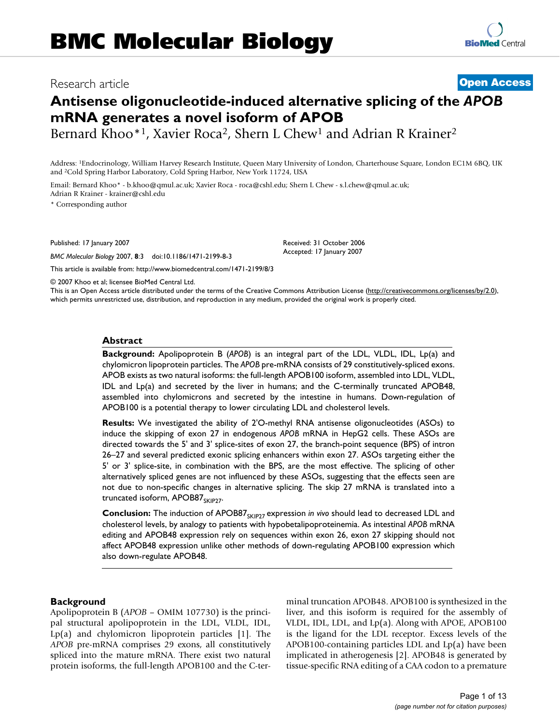# Research article **[Open Access](http://www.biomedcentral.com/info/about/charter/)**

# **Antisense oligonucleotide-induced alternative splicing of the** *APOB*  **mRNA generates a novel isoform of APOB**

Bernard Khoo\*<sup>1</sup>, Xavier Roca<sup>2</sup>, Shern L Chew<sup>1</sup> and Adrian R Krainer<sup>2</sup>

Address: 1Endocrinology, William Harvey Research Institute, Queen Mary University of London, Charterhouse Square, London EC1M 6BQ, UK and 2Cold Spring Harbor Laboratory, Cold Spring Harbor, New York 11724, USA

Email: Bernard Khoo\* - b.khoo@qmul.ac.uk; Xavier Roca - roca@cshl.edu; Shern L Chew - s.l.chew@qmul.ac.uk; Adrian R Krainer - krainer@cshl.edu

\* Corresponding author

Published: 17 January 2007

*BMC Molecular Biology* 2007, **8**:3 doi:10.1186/1471-2199-8-3

[This article is available from: http://www.biomedcentral.com/1471-2199/8/3](http://www.biomedcentral.com/1471-2199/8/3)

© 2007 Khoo et al; licensee BioMed Central Ltd.

This is an Open Access article distributed under the terms of the Creative Commons Attribution License [\(http://creativecommons.org/licenses/by/2.0\)](http://creativecommons.org/licenses/by/2.0), which permits unrestricted use, distribution, and reproduction in any medium, provided the original work is properly cited.

Received: 31 October 2006 Accepted: 17 January 2007

#### **Abstract**

**Background:** Apolipoprotein B (*APOB*) is an integral part of the LDL, VLDL, IDL, Lp(a) and chylomicron lipoprotein particles. The *APOB* pre-mRNA consists of 29 constitutively-spliced exons. APOB exists as two natural isoforms: the full-length APOB100 isoform, assembled into LDL, VLDL, IDL and Lp(a) and secreted by the liver in humans; and the C-terminally truncated APOB48, assembled into chylomicrons and secreted by the intestine in humans. Down-regulation of APOB100 is a potential therapy to lower circulating LDL and cholesterol levels.

**Results:** We investigated the ability of 2'O-methyl RNA antisense oligonucleotides (ASOs) to induce the skipping of exon 27 in endogenous *APOB* mRNA in HepG2 cells. These ASOs are directed towards the 5' and 3' splice-sites of exon 27, the branch-point sequence (BPS) of intron 26–27 and several predicted exonic splicing enhancers within exon 27. ASOs targeting either the 5' or 3' splice-site, in combination with the BPS, are the most effective. The splicing of other alternatively spliced genes are not influenced by these ASOs, suggesting that the effects seen are not due to non-specific changes in alternative splicing. The skip 27 mRNA is translated into a truncated isoform,  $APOB87_{SKIP27}$ .

**Conclusion:** The induction of APOB87<sub>SKIP27</sub> expression *in vivo* should lead to decreased LDL and cholesterol levels, by analogy to patients with hypobetalipoproteinemia. As intestinal *APOB* mRNA editing and APOB48 expression rely on sequences within exon 26, exon 27 skipping should not affect APOB48 expression unlike other methods of down-regulating APOB100 expression which also down-regulate APOB48.

## **Background**

Apolipoprotein B (*APOB* – OMIM 107730) is the principal structural apolipoprotein in the LDL, VLDL, IDL, Lp(a) and chylomicron lipoprotein particles [1]. The *APOB* pre-mRNA comprises 29 exons, all constitutively spliced into the mature mRNA. There exist two natural protein isoforms, the full-length APOB100 and the C-terminal truncation APOB48. APOB100 is synthesized in the liver, and this isoform is required for the assembly of VLDL, IDL, LDL, and Lp(a). Along with APOE, APOB100 is the ligand for the LDL receptor. Excess levels of the APOB100-containing particles LDL and Lp(a) have been implicated in atherogenesis [2]. APOB48 is generated by tissue-specific RNA editing of a CAA codon to a premature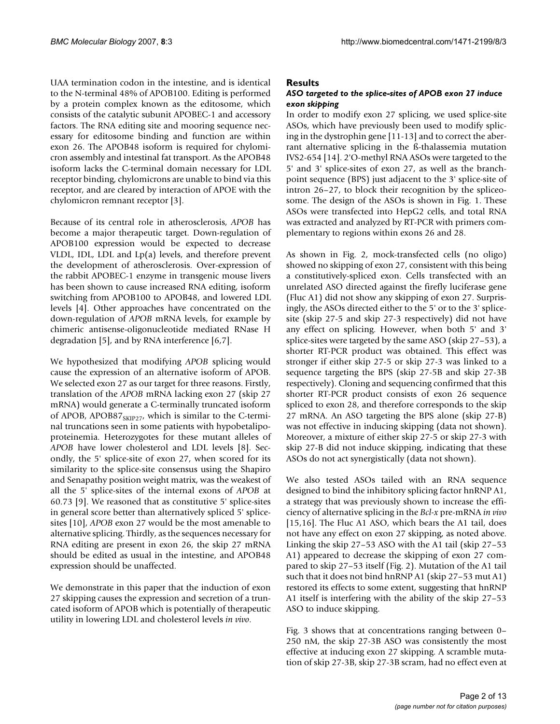UAA termination codon in the intestine, and is identical to the N-terminal 48% of APOB100. Editing is performed by a protein complex known as the editosome, which consists of the catalytic subunit APOBEC-1 and accessory factors. The RNA editing site and mooring sequence necessary for editosome binding and function are within exon 26. The APOB48 isoform is required for chylomicron assembly and intestinal fat transport. As the APOB48 isoform lacks the C-terminal domain necessary for LDL receptor binding, chylomicrons are unable to bind via this receptor, and are cleared by interaction of APOE with the chylomicron remnant receptor [3].

Because of its central role in atherosclerosis, *APOB* has become a major therapeutic target. Down-regulation of APOB100 expression would be expected to decrease VLDL, IDL, LDL and Lp(a) levels, and therefore prevent the development of atherosclerosis. Over-expression of the rabbit APOBEC-1 enzyme in transgenic mouse livers has been shown to cause increased RNA editing, isoform switching from APOB100 to APOB48, and lowered LDL levels [4]. Other approaches have concentrated on the down-regulation of *APOB* mRNA levels, for example by chimeric antisense-oligonucleotide mediated RNase H degradation [5], and by RNA interference [6,7].

We hypothesized that modifying *APOB* splicing would cause the expression of an alternative isoform of APOB. We selected exon 27 as our target for three reasons. Firstly, translation of the *APOB* mRNA lacking exon 27 (skip 27 mRNA) would generate a C-terminally truncated isoform of APOB, APOB87 $_{SKIP27}$ , which is similar to the C-terminal truncations seen in some patients with hypobetalipoproteinemia. Heterozygotes for these mutant alleles of *APOB* have lower cholesterol and LDL levels [8]. Secondly, the 5' splice-site of exon 27, when scored for its similarity to the splice-site consensus using the Shapiro and Senapathy position weight matrix, was the weakest of all the 5' splice-sites of the internal exons of *APOB* at 60.73 [9]. We reasoned that as constitutive 5' splice-sites in general score better than alternatively spliced 5' splicesites [10], *APOB* exon 27 would be the most amenable to alternative splicing. Thirdly, as the sequences necessary for RNA editing are present in exon 26, the skip 27 mRNA should be edited as usual in the intestine, and APOB48 expression should be unaffected.

We demonstrate in this paper that the induction of exon 27 skipping causes the expression and secretion of a truncated isoform of APOB which is potentially of therapeutic utility in lowering LDL and cholesterol levels *in vivo*.

# **Results**

# *ASO targeted to the splice-sites of APOB exon 27 induce exon skipping*

In order to modify exon 27 splicing, we used splice-site ASOs, which have previously been used to modify splicing in the dystrophin gene [11-13] and to correct the aberrant alternative splicing in the ß-thalassemia mutation IVS2-654 [14]. 2'O-methyl RNA ASOs were targeted to the 5' and 3' splice-sites of exon 27, as well as the branchpoint sequence (BPS) just adjacent to the 3' splice-site of intron 26–27, to block their recognition by the spliceosome. The design of the ASOs is shown in Fig. 1. These ASOs were transfected into HepG2 cells, and total RNA was extracted and analyzed by RT-PCR with primers complementary to regions within exons 26 and 28.

As shown in Fig. 2, mock-transfected cells (no oligo) showed no skipping of exon 27, consistent with this being a constitutively-spliced exon. Cells transfected with an unrelated ASO directed against the firefly luciferase gene (Fluc A1) did not show any skipping of exon 27. Surprisingly, the ASOs directed either to the 5' or to the 3' splicesite (skip 27-5 and skip 27-3 respectively) did not have any effect on splicing. However, when both 5' and 3' splice-sites were targeted by the same ASO (skip 27–53), a shorter RT-PCR product was obtained. This effect was stronger if either skip 27-5 or skip 27-3 was linked to a sequence targeting the BPS (skip 27-5B and skip 27-3B respectively). Cloning and sequencing confirmed that this shorter RT-PCR product consists of exon 26 sequence spliced to exon 28, and therefore corresponds to the skip 27 mRNA. An ASO targeting the BPS alone (skip 27-B) was not effective in inducing skipping (data not shown). Moreover, a mixture of either skip 27-5 or skip 27-3 with skip 27-B did not induce skipping, indicating that these ASOs do not act synergistically (data not shown).

We also tested ASOs tailed with an RNA sequence designed to bind the inhibitory splicing factor hnRNP A1, a strategy that was previously shown to increase the efficiency of alternative splicing in the *Bcl-x* pre-mRNA *in vivo* [15,16]. The Fluc A1 ASO, which bears the A1 tail, does not have any effect on exon 27 skipping, as noted above. Linking the skip 27–53 ASO with the A1 tail (skip 27–53 A1) appeared to decrease the skipping of exon 27 compared to skip 27–53 itself (Fig. 2). Mutation of the A1 tail such that it does not bind hnRNP A1 (skip 27–53 mut A1) restored its effects to some extent, suggesting that hnRNP A1 itself is interfering with the ability of the skip 27–53 ASO to induce skipping.

Fig. 3 shows that at concentrations ranging between 0– 250 nM, the skip 27-3B ASO was consistently the most effective at inducing exon 27 skipping. A scramble mutation of skip 27-3B, skip 27-3B scram, had no effect even at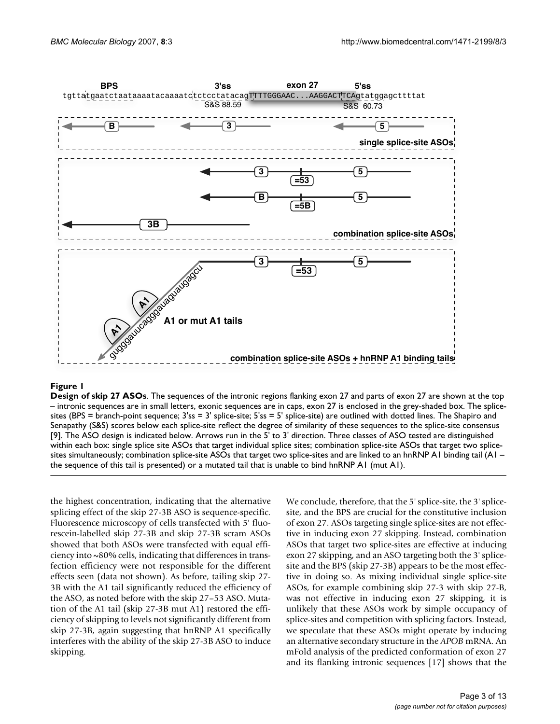

**Design of skip 27 ASOs**. The sequences of the intronic regions flanking exon 27 and parts of exon 27 are shown at the top – intronic sequences are in small letters, exonic sequences are in caps, exon 27 is enclosed in the grey-shaded box. The splicesites (BPS = branch-point sequence;  $3's = 3'$  splice-site;  $5's = 5'$  splice-site) are outlined with dotted lines. The Shapiro and Senapathy (S&S) scores below each splice-site reflect the degree of similarity of these sequences to the splice-site consensus [9]. The ASO design is indicated below. Arrows run in the 5' to 3' direction. Three classes of ASO tested are distinguished within each box: single splice site ASOs that target individual splice sites; combination splice-site ASOs that target two splicesites simultaneously; combination splice-site ASOs that target two splice-sites and are linked to an hnRNP A1 binding tail (A1 – the sequence of this tail is presented) or a mutated tail that is unable to bind hnRNP A1 (mut A1).

the highest concentration, indicating that the alternative splicing effect of the skip 27-3B ASO is sequence-specific. Fluorescence microscopy of cells transfected with 5' fluorescein-labelled skip 27-3B and skip 27-3B scram ASOs showed that both ASOs were transfected with equal efficiency into ~80% cells, indicating that differences in transfection efficiency were not responsible for the different effects seen (data not shown). As before, tailing skip 27- 3B with the A1 tail significantly reduced the efficiency of the ASO, as noted before with the skip 27–53 ASO. Mutation of the A1 tail (skip 27-3B mut A1) restored the efficiency of skipping to levels not significantly different from skip 27-3B, again suggesting that hnRNP A1 specifically interferes with the ability of the skip 27-3B ASO to induce skipping.

We conclude, therefore, that the 5' splice-site, the 3' splicesite, and the BPS are crucial for the constitutive inclusion of exon 27. ASOs targeting single splice-sites are not effective in inducing exon 27 skipping. Instead, combination ASOs that target two splice-sites are effective at inducing exon 27 skipping, and an ASO targeting both the 3' splicesite and the BPS (skip 27-3B) appears to be the most effective in doing so. As mixing individual single splice-site ASOs, for example combining skip 27-3 with skip 27-B, was not effective in inducing exon 27 skipping, it is unlikely that these ASOs work by simple occupancy of splice-sites and competition with splicing factors. Instead, we speculate that these ASOs might operate by inducing an alternative secondary structure in the *APOB* mRNA. An mFold analysis of the predicted conformation of exon 27 and its flanking intronic sequences [17] shows that the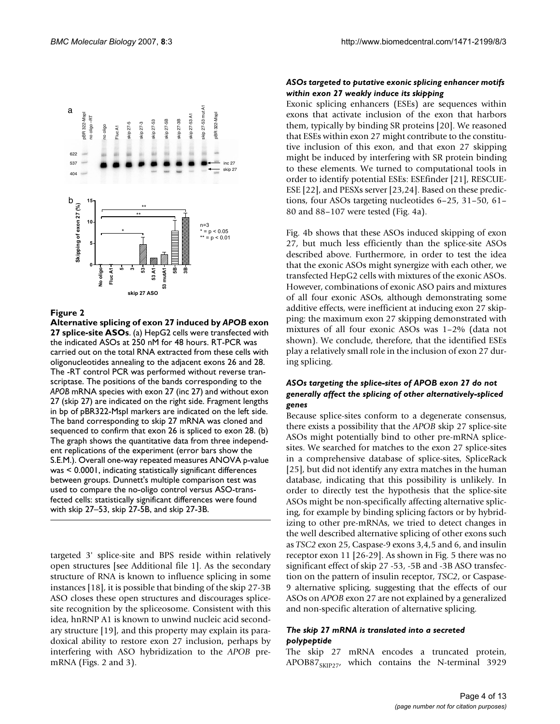

**Alternative splicing of exon 27 induced by** *APOB* **exon 27 splice-site ASOs**. (a) HepG2 cells were transfected with the indicated ASOs at 250 nM for 48 hours. RT-PCR was carried out on the total RNA extracted from these cells with oligonucleotides annealing to the adjacent exons 26 and 28. The -RT control PCR was performed without reverse transcriptase. The positions of the bands corresponding to the *APOB* mRNA species with exon 27 (inc 27) and without exon 27 (skip 27) are indicated on the right side. Fragment lengths in bp of pBR322-MspI markers are indicated on the left side. The band corresponding to skip 27 mRNA was cloned and sequenced to confirm that exon 26 is spliced to exon 28. (b) The graph shows the quantitative data from three independent replications of the experiment (error bars show the S.E.M.). Overall one-way repeated measures ANOVA p-value was < 0.0001, indicating statistically significant differences between groups. Dunnett's multiple comparison test was used to compare the no-oligo control versus ASO-transfected cells: statistically significant differences were found with skip 27-53, skip 27-58, and skip 27-3B.

targeted 3' splice-site and BPS reside within relatively open structures [see Additional file 1]. As the secondary structure of RNA is known to influence splicing in some instances [18], it is possible that binding of the skip 27-3B ASO closes these open structures and discourages splicesite recognition by the spliceosome. Consistent with this idea, hnRNP A1 is known to unwind nucleic acid secondary structure [19], and this property may explain its paradoxical ability to restore exon 27 inclusion, perhaps by interfering with ASO hybridization to the *APOB* premRNA (Figs. 2 and 3).

# *ASOs targeted to putative exonic splicing enhancer motifs within exon 27 weakly induce its skipping*

Exonic splicing enhancers (ESEs) are sequences within exons that activate inclusion of the exon that harbors them, typically by binding SR proteins [20]. We reasoned that ESEs within exon 27 might contribute to the constitutive inclusion of this exon, and that exon 27 skipping might be induced by interfering with SR protein binding to these elements. We turned to computational tools in order to identify potential ESEs: ESEfinder [21], RESCUE-ESE [22], and PESXs server [23,24]. Based on these predictions, four ASOs targeting nucleotides 6–25, 31–50, 61– 80 and 88–107 were tested (Fig. 4a).

Fig. 4b shows that these ASOs induced skipping of exon 27, but much less efficiently than the splice-site ASOs described above. Furthermore, in order to test the idea that the exonic ASOs might synergize with each other, we transfected HepG2 cells with mixtures of the exonic ASOs. However, combinations of exonic ASO pairs and mixtures of all four exonic ASOs, although demonstrating some additive effects, were inefficient at inducing exon 27 skipping: the maximum exon 27 skipping demonstrated with mixtures of all four exonic ASOs was 1–2% (data not shown). We conclude, therefore, that the identified ESEs play a relatively small role in the inclusion of exon 27 during splicing.

# *ASOs targeting the splice-sites of APOB exon 27 do not generally affect the splicing of other alternatively-spliced genes*

Because splice-sites conform to a degenerate consensus, there exists a possibility that the *APOB* skip 27 splice-site ASOs might potentially bind to other pre-mRNA splicesites. We searched for matches to the exon 27 splice-sites in a comprehensive database of splice-sites, SpliceRack [25], but did not identify any extra matches in the human database, indicating that this possibility is unlikely. In order to directly test the hypothesis that the splice-site ASOs might be non-specifically affecting alternative splicing, for example by binding splicing factors or by hybridizing to other pre-mRNAs, we tried to detect changes in the well described alternative splicing of other exons such as *TSC2* exon 25, Caspase-9 exons 3,4,5 and 6, and insulin receptor exon 11 [26-29]. As shown in Fig. 5 there was no significant effect of skip 27 -53, -5B and -3B ASO transfection on the pattern of insulin receptor, *TSC2*, or Caspase-9 alternative splicing, suggesting that the effects of our ASOs on *APOB* exon 27 are not explained by a generalized and non-specific alteration of alternative splicing.

# *The skip 27 mRNA is translated into a secreted polypeptide*

The skip 27 mRNA encodes a truncated protein,  $APOB87_{SKIP27}$ , which contains the N-terminal 3929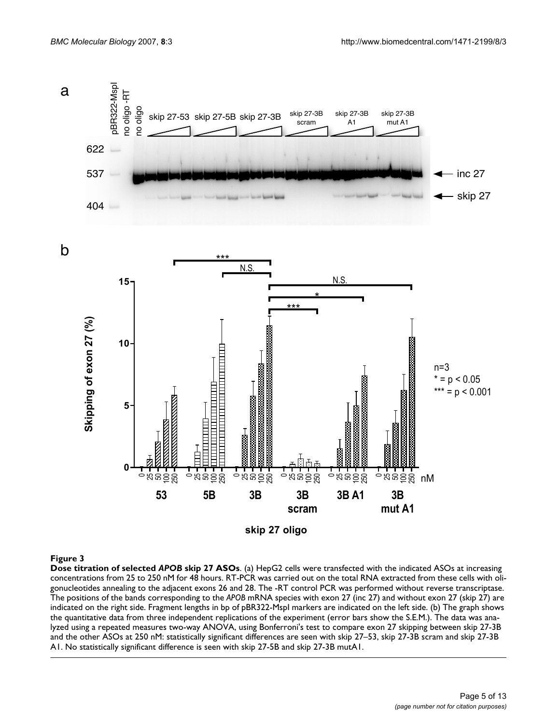

**Dose titration of selected** *APOB* **skip 27 ASOs**. (a) HepG2 cells were transfected with the indicated ASOs at increasing concentrations from 25 to 250 nM for 48 hours. RT-PCR was carried out on the total RNA extracted from these cells with oligonucleotides annealing to the adjacent exons 26 and 28. The -RT control PCR was performed without reverse transcriptase. The positions of the bands corresponding to the *APOB* mRNA species with exon 27 (inc 27) and without exon 27 (skip 27) are indicated on the right side. Fragment lengths in bp of pBR322-MspI markers are indicated on the left side. (b) The graph shows the quantitative data from three independent replications of the experiment (error bars show the S.E.M.). The data was analyzed using a repeated measures two-way ANOVA, using Bonferroni's test to compare exon 27 skipping between skip 27-3B and the other ASOs at 250 nM: statistically significant differences are seen with skip 27–53, skip 27-3B scram and skip 27-3B A1. No statistically significant difference is seen with skip 27-5B and skip 27-3B mutA1.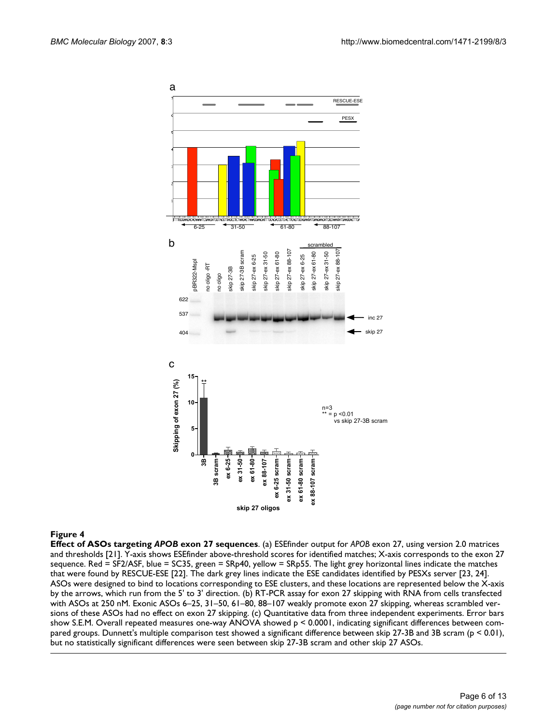

**Effect of ASOs targeting** *APOB* **exon 27 sequences**. (a) ESEfinder output for *APOB* exon 27, using version 2.0 matrices and thresholds [21]. Y-axis shows ESEfinder above-threshold scores for identified matches; X-axis corresponds to the exon 27 sequence. Red = SF2/ASF, blue = SC35, green = SRp40, yellow = SRp55. The light grey horizontal lines indicate the matches that were found by RESCUE-ESE [22]. The dark grey lines indicate the ESE candidates identified by PESXs server [23, 24]. ASOs were designed to bind to locations corresponding to ESE clusters, and these locations are represented below the X-axis by the arrows, which run from the 5' to 3' direction. (b) RT-PCR assay for exon 27 skipping with RNA from cells transfected with ASOs at 250 nM. Exonic ASOs 6–25, 31–50, 61–80, 88–107 weakly promote exon 27 skipping, whereas scrambled versions of these ASOs had no effect on exon 27 skipping. (c) Quantitative data from three independent experiments. Error bars show S.E.M. Overall repeated measures one-way ANOVA showed p < 0.0001, indicating significant differences between compared groups. Dunnett's multiple comparison test showed a significant difference between skip 27-3B and 3B scram (p < 0.01), but no statistically significant differences were seen between skip 27-3B scram and other skip 27 ASOs.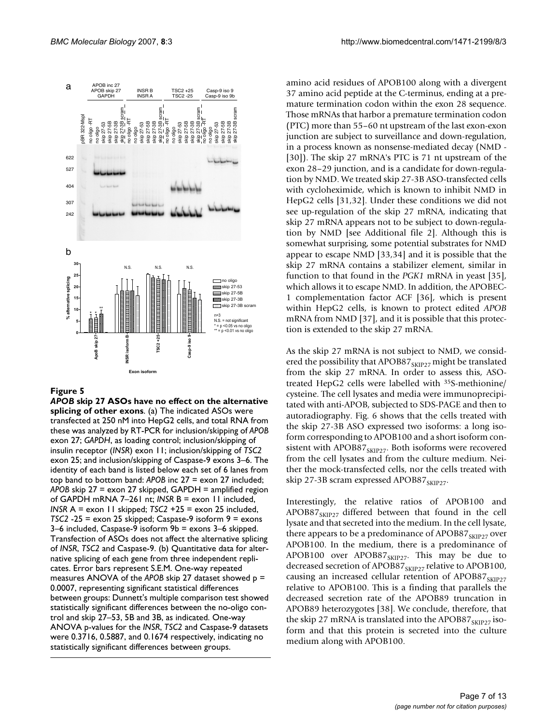

*APOB* **skip 27 ASOs have no effect on the alternative splicing of other exons**. (a) The indicated ASOs were transfected at 250 nM into HepG2 cells, and total RNA from these was analyzed by RT-PCR for inclusion/skipping of *APOB*  exon 27; *GAPDH*, as loading control; inclusion/skipping of insulin receptor (*INSR*) exon 11; inclusion/skipping of *TSC2*  exon 25; and inclusion/skipping of Caspase-9 exons 3–6. The identity of each band is listed below each set of 6 lanes from top band to bottom band: *APOB* inc 27 = exon 27 included; *APOB* skip 27 = exon 27 skipped, GAPDH = amplified region of GAPDH mRNA 7–261 nt; *INSR* B = exon 11 included, *INSR* A = exon 11 skipped; *TSC2* +25 = exon 25 included, *TSC2* -25 = exon 25 skipped; Caspase-9 isoform 9 = exons 3–6 included, Caspase-9 isoform 9b = exons 3–6 skipped. Transfection of ASOs does not affect the alternative splicing of *INSR*, *TSC2* and Caspase-9. (b) Quantitative data for alternative splicing of each gene from three independent replicates. Error bars represent S.E.M. One-way repeated measures ANOVA of the *APOB* skip 27 dataset showed p = 0.0007, representing significant statistical differences between groups: Dunnett's multiple comparison test showed statistically significant differences between the no-oligo control and skip 27–53, 5B and 3B, as indicated. One-way ANOVA p-values for the *INSR*, *TSC2* and Caspase-9 datasets were 0.3716, 0.5887, and 0.1674 respectively, indicating no statistically significant differences between groups.

amino acid residues of APOB100 along with a divergent 37 amino acid peptide at the C-terminus, ending at a premature termination codon within the exon 28 sequence. Those mRNAs that harbor a premature termination codon (PTC) more than 55–60 nt upstream of the last exon-exon junction are subject to surveillance and down-regulation, in a process known as nonsense-mediated decay (NMD - [30]). The skip 27 mRNA's PTC is 71 nt upstream of the exon 28–29 junction, and is a candidate for down-regulation by NMD. We treated skip 27-3B ASO-transfected cells with cycloheximide, which is known to inhibit NMD in HepG2 cells [31,32]. Under these conditions we did not see up-regulation of the skip 27 mRNA, indicating that skip 27 mRNA appears not to be subject to down-regulation by NMD [see Additional file 2]. Although this is somewhat surprising, some potential substrates for NMD appear to escape NMD [33,34] and it is possible that the skip 27 mRNA contains a stabilizer element, similar in function to that found in the *PGK1* mRNA in yeast [35], which allows it to escape NMD. In addition, the APOBEC-1 complementation factor ACF [36], which is present within HepG2 cells, is known to protect edited *APOB* mRNA from NMD [37], and it is possible that this protection is extended to the skip 27 mRNA.

As the skip 27 mRNA is not subject to NMD, we considered the possibility that APOB87<sub>SKIP27</sub> might be translated from the skip 27 mRNA. In order to assess this, ASOtreated HepG2 cells were labelled with 35S-methionine/ cysteine. The cell lysates and media were immunoprecipitated with anti-APOB, subjected to SDS-PAGE and then to autoradiography. Fig. 6 shows that the cells treated with the skip 27-3B ASO expressed two isoforms: a long isoform corresponding to APOB100 and a short isoform consistent with APOB87 $_{SKIP27}$ . Both isoforms were recovered from the cell lysates and from the culture medium. Neither the mock-transfected cells, nor the cells treated with skip 27-3B scram expressed APOB87 $_{SKIP27}$ .

Interestingly, the relative ratios of APOB100 and APOB87 $_{\text{SKIP27}}$  differed between that found in the cell lysate and that secreted into the medium. In the cell lysate, there appears to be a predominance of APOB87 $_{SKIP27}$  over APOB100. In the medium, there is a predominance of APOB100 over APOB87<sub>SKIP27</sub>. This may be due to decreased secretion of APOB87 $_{\text{SKIP27}}$  relative to APOB100, causing an increased cellular retention of APOB87<sub>SKIP27</sub> relative to APOB100. This is a finding that parallels the decreased secretion rate of the APOB89 truncation in APOB89 heterozygotes [38]. We conclude, therefore, that the skip 27 mRNA is translated into the APOB87 $_{\text{SKIP27}}$  isoform and that this protein is secreted into the culture medium along with APOB100.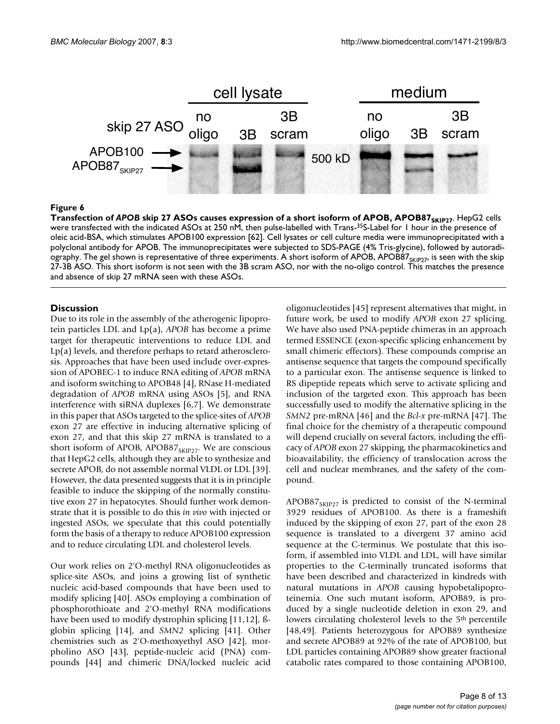

Transfection of *APOB* skip 27 ASOs causes expression of a short isoform of APOB, APOB87 **Figure 6** SKIP27  $\bf{Transformer}$  of  $\bf{APOB}$   $\bf{skip}$   $\bf{27}$   $\bf{ASOs}$  causes expression of a short isoform of  $\bf{APOB},$   $\bf{APO}\bf{B87}_{\rm 5KIP27}$ . HepG2 cells were transfected with the indicated ASOs at 250 nM, then pulse-labelled with Trans-<sup>35</sup>S-Label for 1 hour in the presence of oleic acid-BSA, which stimulates APOB100 expression [62]. Cell lysates or cell culture media were immunoprecipitated with a polyclonal antibody for APOB. The immunoprecipitates were subjected to SDS-PAGE (4% Tris-glycine), followed by autoradiography. The gel shown is representative of three experiments. A short isoform of APOB, APOB87<sub>SKIP27</sub>, is seen with the skip 27-3B ASO. This short isoform is not seen with the 3B scram ASO, nor with the no-oligo control. This matches the presence and absence of skip 27 mRNA seen with these ASOs.

# **Discussion**

Due to its role in the assembly of the atherogenic lipoprotein particles LDL and Lp(a), *APOB* has become a prime target for therapeutic interventions to reduce LDL and Lp(a) levels, and therefore perhaps to retard atherosclerosis. Approaches that have been used include over-expression of APOBEC-1 to induce RNA editing of *APOB* mRNA and isoform switching to APOB48 [4], RNase H-mediated degradation of *APOB* mRNA using ASOs [5], and RNA interference with siRNA duplexes [6,7]. We demonstrate in this paper that ASOs targeted to the splice-sites of *APOB* exon 27 are effective in inducing alternative splicing of exon 27, and that this skip 27 mRNA is translated to a short isoform of APOB, APOB87 $_{SKIP27}$ . We are conscious that HepG2 cells, although they are able to synthesize and secrete APOB, do not assemble normal VLDL or LDL [39]. However, the data presented suggests that it is in principle feasible to induce the skipping of the normally constitutive exon 27 in hepatocytes. Should further work demonstrate that it is possible to do this *in vivo* with injected or ingested ASOs, we speculate that this could potentially form the basis of a therapy to reduce APOB100 expression and to reduce circulating LDL and cholesterol levels.

Our work relies on 2'O-methyl RNA oligonucleotides as splice-site ASOs, and joins a growing list of synthetic nucleic acid-based compounds that have been used to modify splicing [40]. ASOs employing a combination of phosphorothioate and 2'O-methyl RNA modifications have been used to modify dystrophin splicing [11,12], ßglobin splicing [14], and *SMN2* splicing [41]. Other chemistries such as 2'O-methoxyethyl ASO [42], morpholino ASO [43], peptide-nucleic acid (PNA) compounds [44] and chimeric DNA/locked nucleic acid

oligonucleotides [45] represent alternatives that might, in future work, be used to modify *APOB* exon 27 splicing. We have also used PNA-peptide chimeras in an approach termed ESSENCE (exon-specific splicing enhancement by small chimeric effectors). These compounds comprise an antisense sequence that targets the compound specifically to a particular exon. The antisense sequence is linked to RS dipeptide repeats which serve to activate splicing and inclusion of the targeted exon. This approach has been successfully used to modify the alternative splicing in the *SMN2* pre-mRNA [46] and the *Bcl-x* pre-mRNA [47]. The final choice for the chemistry of a therapeutic compound will depend crucially on several factors, including the efficacy of *APOB* exon 27 skipping, the pharmacokinetics and bioavailability, the efficiency of translocation across the cell and nuclear membranes, and the safety of the compound.

 $APOB87<sub>SKIP27</sub>$  is predicted to consist of the N-terminal 3929 residues of APOB100. As there is a frameshift induced by the skipping of exon 27, part of the exon 28 sequence is translated to a divergent 37 amino acid sequence at the C-terminus. We postulate that this isoform, if assembled into VLDL and LDL, will have similar properties to the C-terminally truncated isoforms that have been described and characterized in kindreds with natural mutations in *APOB* causing hypobetalipoproteinemia. One such mutant isoform, APOB89, is produced by a single nucleotide deletion in exon 29, and lowers circulating cholesterol levels to the 5<sup>th</sup> percentile [48,49]. Patients heterozygous for APOB89 synthesize and secrete APOB89 at 92% of the rate of APOB100, but LDL particles containing APOB89 show greater fractional catabolic rates compared to those containing APOB100,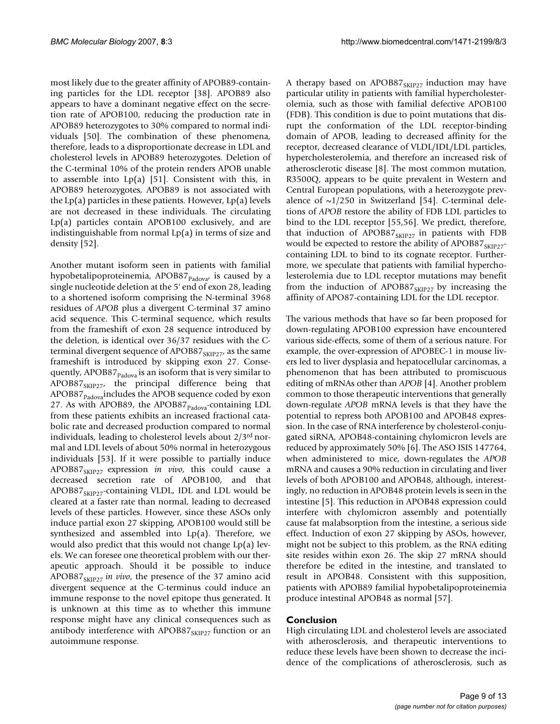most likely due to the greater affinity of APOB89-containing particles for the LDL receptor [38]. APOB89 also appears to have a dominant negative effect on the secretion rate of APOB100, reducing the production rate in APOB89 heterozygotes to 30% compared to normal individuals [50]. The combination of these phenomena, therefore, leads to a disproportionate decrease in LDL and cholesterol levels in APOB89 heterozygotes. Deletion of the C-terminal 10% of the protein renders APOB unable to assemble into Lp(a) [51]. Consistent with this, in APOB89 heterozygotes, APOB89 is not associated with the  $Lp(a)$  particles in these patients. However,  $Lp(a)$  levels are not decreased in these individuals. The circulating Lp(a) particles contain APOB100 exclusively, and are indistinguishable from normal  $Lp(a)$  in terms of size and density [52].

Another mutant isoform seen in patients with familial hypobetalipoproteinemia, APOB87 $_{\text{Padova'}}$  is caused by a single nucleotide deletion at the 5' end of exon 28, leading to a shortened isoform comprising the N-terminal 3968 residues of *APOB* plus a divergent C-terminal 37 amino acid sequence. This C-terminal sequence, which results from the frameshift of exon 28 sequence introduced by the deletion, is identical over 36/37 residues with the Cterminal divergent sequence of APOB87 $_{SKIP27}$ , as the same frameshift is introduced by skipping exon 27. Consequently, APOB87 $_{\text{Padova}}$  is an isoform that is very similar to  $APOB87<sub>SKIP27</sub>$ , the principal difference being that APOB87<sub>Padova</sub>includes the APOB sequence coded by exon 27. As with APOB89, the APOB87 $_{\text{Padova}}$ -containing LDL from these patients exhibits an increased fractional catabolic rate and decreased production compared to normal individuals, leading to cholesterol levels about 2/3rd normal and LDL levels of about 50% normal in heterozygous individuals [53]. If it were possible to partially induce APOB87<sub>SKIP27</sub> expression *in vivo*, this could cause a decreased secretion rate of APOB100, and that  $APOB87<sub>SKIP27</sub>$ -containing VLDL, IDL and LDL would be cleared at a faster rate than normal, leading to decreased levels of these particles. However, since these ASOs only induce partial exon 27 skipping, APOB100 would still be synthesized and assembled into Lp(a). Therefore, we would also predict that this would not change Lp(a) levels. We can foresee one theoretical problem with our therapeutic approach. Should it be possible to induce APOB87<sub>SKIP27</sub> in vivo, the presence of the 37 amino acid divergent sequence at the C-terminus could induce an immune response to the novel epitope thus generated. It is unknown at this time as to whether this immune response might have any clinical consequences such as antibody interference with APOB87 $_{\text{SKIP27}}$  function or an autoimmune response.

A therapy based on APOB87 $_{SKIP27}$  induction may have particular utility in patients with familial hypercholesterolemia, such as those with familial defective APOB100 (FDB). This condition is due to point mutations that disrupt the conformation of the LDL receptor-binding domain of APOB, leading to decreased affinity for the receptor, decreased clearance of VLDL/IDL/LDL particles, hypercholesterolemia, and therefore an increased risk of atherosclerotic disease [8]. The most common mutation, R3500Q, appears to be quite prevalent in Western and Central European populations, with a heterozygote prevalence of  $\sim$ 1/250 in Switzerland [54]. C-terminal deletions of *APOB* restore the ability of FDB LDL particles to bind to the LDL receptor [55,56]. We predict, therefore, that induction of APOB87 $_{\text{SKIP27}}$  in patients with FDB would be expected to restore the ability of APOB87<sub>SKIP27</sub>containing LDL to bind to its cognate receptor. Furthermore, we speculate that patients with familial hypercholesterolemia due to LDL receptor mutations may benefit from the induction of APOB87 $_{SKIP27}$  by increasing the affinity of APO87-containing LDL for the LDL receptor.

The various methods that have so far been proposed for down-regulating APOB100 expression have encountered various side-effects, some of them of a serious nature. For example, the over-expression of APOBEC-1 in mouse livers led to liver dysplasia and hepatocellular carcinomas, a phenomenon that has been attributed to promiscuous editing of mRNAs other than *APOB* [4]. Another problem common to those therapeutic interventions that generally down-regulate *APOB* mRNA levels is that they have the potential to repress both APOB100 and APOB48 expression. In the case of RNA interference by cholesterol-conjugated siRNA, APOB48-containing chylomicron levels are reduced by approximately 50% [6]. The ASO ISIS 147764, when administered to mice, down-regulates the *APOB* mRNA and causes a 90% reduction in circulating and liver levels of both APOB100 and APOB48, although, interestingly, no reduction in APOB48 protein levels is seen in the intestine [5]. This reduction in APOB48 expression could interfere with chylomicron assembly and potentially cause fat malabsorption from the intestine, a serious side effect. Induction of exon 27 skipping by ASOs, however, might not be subject to this problem, as the RNA editing site resides within exon 26. The skip 27 mRNA should therefore be edited in the intestine, and translated to result in APOB48. Consistent with this supposition, patients with APOB89 familial hypobetalipoproteinemia produce intestinal APOB48 as normal [57].

## **Conclusion**

High circulating LDL and cholesterol levels are associated with atherosclerosis, and therapeutic interventions to reduce these levels have been shown to decrease the incidence of the complications of atherosclerosis, such as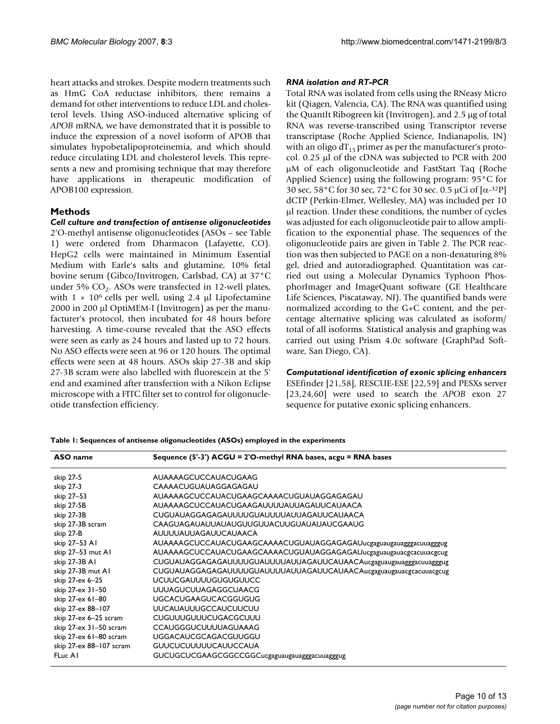heart attacks and strokes. Despite modern treatments such as HmG CoA reductase inhibitors, there remains a demand for other interventions to reduce LDL and cholesterol levels. Using ASO-induced alternative splicing of *APOB* mRNA, we have demonstrated that it is possible to induce the expression of a novel isoform of APOB that simulates hypobetalipoproteinemia, and which should reduce circulating LDL and cholesterol levels. This represents a new and promising technique that may therefore have applications in therapeutic modification of APOB100 expression.

# **Methods**

*Cell culture and transfection of antisense oligonucleotides* 2'O-methyl antisense oligonucleotides (ASOs – see Table 1) were ordered from Dharmacon (Lafayette, CO). HepG2 cells were maintained in Minimum Essential Medium with Earle's salts and glutamine, 10% fetal bovine serum (Gibco/Invitrogen, Carlsbad, CA) at 37°C under 5%  $CO<sub>2</sub>$ . ASOs were transfected in 12-well plates, with  $1 \times 10^6$  cells per well, using 2.4 μl Lipofectamine 2000 in 200 μl OptiMEM-I (Invitrogen) as per the manufacturer's protocol, then incubated for 48 hours before harvesting. A time-course revealed that the ASO effects were seen as early as 24 hours and lasted up to 72 hours. No ASO effects were seen at 96 or 120 hours. The optimal effects were seen at 48 hours. ASOs skip 27-3B and skip 27-3B scram were also labelled with fluorescein at the 5' end and examined after transfection with a Nikon Eclipse microscope with a FITC filter set to control for oligonucleotide transfection efficiency.

# *RNA isolation and RT-PCR*

Total RNA was isolated from cells using the RNeasy Micro kit (Qiagen, Valencia, CA). The RNA was quantified using the QuantIt Ribogreen kit (Invitrogen), and 2.5 μg of total RNA was reverse-transcribed using Transcriptor reverse transcriptase (Roche Applied Science, Indianapolis, IN) with an oligo  $dT_{15}$  primer as per the manufacturer's protocol. 0.25 μl of the cDNA was subjected to PCR with 200 μM of each oligonucleotide and FastStart Taq (Roche Applied Science) using the following program: 95°C for 30 sec, 58°C for 30 sec, 72°C for 30 sec. 0.5 μCi of [α-32P] dCTP (Perkin-Elmer, Wellesley, MA) was included per 10 μl reaction. Under these conditions, the number of cycles was adjusted for each oligonucleotide pair to allow amplification to the exponential phase. The sequences of the oligonucleotide pairs are given in Table 2. The PCR reaction was then subjected to PAGE on a non-denaturing 8% gel, dried and autoradiographed. Quantitation was carried out using a Molecular Dynamics Typhoon PhosphorImager and ImageQuant software (GE Healthcare Life Sciences, Piscataway, NJ). The quantified bands were normalized according to the G+C content, and the percentage alternative splicing was calculated as isoform/ total of all isoforms. Statistical analysis and graphing was carried out using Prism 4.0c software (GraphPad Software, San Diego, CA).

# *Computational identification of exonic splicing enhancers*

ESEfinder [21,58], RESCUE-ESE [22,59] and PESXs server [23,24,60] were used to search the *APOB* exon 27 sequence for putative exonic splicing enhancers.

**Table 1: Sequences of antisense oligonucleotides (ASOs) employed in the experiments**

| ASO name                | Sequence (5'-3') ACGU = 2'O-methyl RNA bases, acgu = RNA bases    |
|-------------------------|-------------------------------------------------------------------|
| skip 27-5               | AUAAAAGCUCCAUACUGAAG                                              |
| skip 27-3               | CAAAACUGUAUAGGAGAGAU                                              |
| skip 27-53              | AUAAAAGCUCCAUACUGAAGCAAAACUGUAUAGGAGAGAU                          |
| skip 27-5B              | AUAAAAGCUCCAUACUGAAGAUUUUAUUAGAUUCAUAACA                          |
| skip 27-3B              | CUGUAUAGGAGAGAUUUUGUAUUUUAUUAGAUUCAUAACA                          |
| skip 27-3B scram        | CAAGUAGAUAUUAUAUGUUGUUACUUGUAUAUAUCGAAUG                          |
| skip 27-B               | AUUUUAUUAGAUUCAUAACA                                              |
| skip 27-53 A1           | AUAAAAGCUCCAUACUGAAGCAAAACUGUAUAGGAGAGAUucgaguaugauagggacuuagggug |
| skip 27-53 mut AI       | AUAAAAGCUCCAUACUGAAGCAAAACUGUAUAGGAGAGAUucgaguaugauacgcacuuacgcug |
| skip 27-3B AI           | CUGUAUAGGAGAGAUUUUGUAUUUUAUUAGAUUCAUAACAucgaguaugauagggacuuagggug |
| skip 27-3B mut AI       | CUGUAUAGGAGAGAUUUUGUAUUUUAUUAGAUUCAUAACAucgaguaugauacgcacuuacgcug |
| skip 27-ex 6-25         | UCUUCGAUUUUGUGUGUUCC                                              |
| skip 27-ex 31-50        | <b>UUUAGUCUUAGAGGCUAACG</b>                                       |
| skip 27-ex 61-80        | <b>UGCACUGAAGUCACGGUGUG</b>                                       |
| skip 27-ex 88-107       | <b>UUCAUAUUUGCCAUCUUCUU</b>                                       |
| skip 27-ex 6-25 scram   | CUGUUUGUUUCUGACGCUUU                                              |
| skip 27-ex 31-50 scram  | <b>CCAUGGGUCUUUUAGUAAAG</b>                                       |
| skip 27-ex 61-80 scram  | <b>UGGACAUCGCAGACGUUGGU</b>                                       |
| skip 27-ex 88-107 scram | <b>GUUCUCUUUUUCAUUCCAUA</b>                                       |
| FLuc AI                 | GUCUGCUCGAAGCGGCCGGCucgaguaugauagggacuuagggug                     |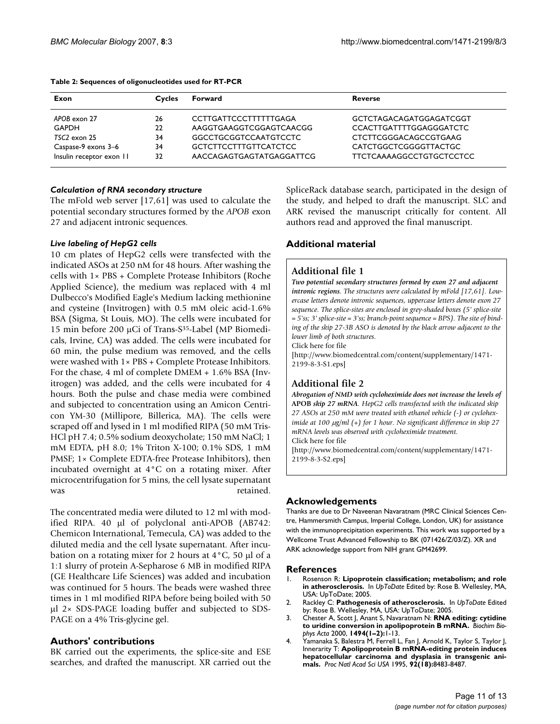| Exon                     | <b>Cycles</b> | Forward                      | <b>Reverse</b>                  |
|--------------------------|---------------|------------------------------|---------------------------------|
| APOB exon 27             | 26            | <b>CCTTGATTCCCTTTTTTGAGA</b> | GCTCTAGACAGATGGAGATCGGT         |
| <b>GAPDH</b>             | 22            | AAGGTGAAGGTCGGAGTCAACGG      | <b>CCACTTGATTTTGGAGGGATCTC</b>  |
| $TSC2$ exon $25$         | 34            | <b>GGCCTGCGGTCCAATGTCCTC</b> | <b>CTCTTCGGGACAGCCGTGAAG</b>    |
| Caspase-9 exons 3-6      | 34            | <b>GCTCTTCCTTTGTTCATCTCC</b> | CATCTGGCTCGGGGTTACTGC           |
| Insulin receptor exon II | 32            | AACCAGAGTGAGTATGAGGATTCG     | <b>TTCTCAAAAGGCCTGTGCTCCTCC</b> |

#### **Table 2: Sequences of oligonucleotides used for RT-PCR**

# *Calculation of RNA secondary structure*

The mFold web server [17,61] was used to calculate the potential secondary structures formed by the *APOB* exon 27 and adjacent intronic sequences.

# *Live labeling of HepG2 cells*

10 cm plates of HepG2 cells were transfected with the indicated ASOs at 250 nM for 48 hours. After washing the cells with 1× PBS + Complete Protease Inhibitors (Roche Applied Science), the medium was replaced with 4 ml Dulbecco's Modified Eagle's Medium lacking methionine and cysteine (Invitrogen) with 0.5 mM oleic acid-1.6% BSA (Sigma, St Louis, MO). The cells were incubated for 15 min before 200 μCi of Trans-S35-Label (MP Biomedicals, Irvine, CA) was added. The cells were incubated for 60 min, the pulse medium was removed, and the cells were washed with 1× PBS + Complete Protease Inhibitors. For the chase, 4 ml of complete DMEM + 1.6% BSA (Invitrogen) was added, and the cells were incubated for 4 hours. Both the pulse and chase media were combined and subjected to concentration using an Amicon Centricon YM-30 (Millipore, Billerica, MA). The cells were scraped off and lysed in 1 ml modified RIPA (50 mM Tris-HCl pH 7.4; 0.5% sodium deoxycholate; 150 mM NaCl; 1 mM EDTA, pH 8.0; 1% Triton X-100; 0.1% SDS, 1 mM PMSF; 1× Complete EDTA-free Protease Inhibitors), then incubated overnight at 4°C on a rotating mixer. After microcentrifugation for 5 mins, the cell lysate supernatant was retained.

The concentrated media were diluted to 12 ml with modified RIPA. 40 μl of polyclonal anti-APOB (AB742: Chemicon International, Temecula, CA) was added to the diluted media and the cell lysate supernatant. After incubation on a rotating mixer for 2 hours at 4°C, 50 μl of a 1:1 slurry of protein A-Sepharose 6 MB in modified RIPA (GE Healthcare Life Sciences) was added and incubation was continued for 5 hours. The beads were washed three times in 1 ml modified RIPA before being boiled with 50 μl 2× SDS-PAGE loading buffer and subjected to SDS-PAGE on a 4% Tris-glycine gel.

# **Authors' contributions**

BK carried out the experiments, the splice-site and ESE searches, and drafted the manuscript. XR carried out the SpliceRack database search, participated in the design of the study, and helped to draft the manuscript. SLC and ARK revised the manuscript critically for content. All authors read and approved the final manuscript.

# **Additional material**

# **Additional file 1**

*Two potential secondary structures formed by exon 27 and adjacent intronic regions. The structures were calculated by mFold [17,61]. Lowercase letters denote intronic sequences, uppercase letters denote exon 27 sequence. The splice-sites are enclosed in grey-shaded boxes (5' splice-site = 5'ss; 3' splice-site = 3'ss; branch-point sequence = BPS). The site of binding of the skip 27-3B ASO is denoted by the black arrow adjacent to the lower limb of both structures.*

Click here for file

[\[http://www.biomedcentral.com/content/supplementary/1471-](http://www.biomedcentral.com/content/supplementary/1471-2199-8-3-S1.eps) 2199-8-3-S1.eps]

# **Additional file 2**

*Abrogation of NMD with cycloheximide does not increase the levels of*  **APOB** *skip 27 mRNA. HepG2 cells transfected with the indicated skip 27 ASOs at 250 mM were treated with ethanol vehicle (-) or cycloheximide at 100* μ*g/ml (+) for 1 hour. No significant difference in skip 27 mRNA levels was observed with cycloheximide treatment.* Click here for file

[\[http://www.biomedcentral.com/content/supplementary/1471-](http://www.biomedcentral.com/content/supplementary/1471-2199-8-3-S2.eps) 2199-8-3-S2.eps]

# **Acknowledgements**

Thanks are due to Dr Naveenan Navaratnam (MRC Clinical Sciences Centre, Hammersmith Campus, Imperial College, London, UK) for assistance with the immunoprecipitation experiments. This work was supported by a Wellcome Trust Advanced Fellowship to BK (071426/Z/03/Z). XR and ARK acknowledge support from NIH grant GM42699.

## **References**

- 1. Rosenson R: **Lipoprotein classification; metabolism; and role in atherosclerosis.** In *UpToDate* Edited by: Rose B. Wellesley, MA, USA: UpToDate; 2005.
- 2. Rackley C: **Pathogenesis of atherosclerosis.** In *UpToDate* Edited by: Rose B. Wellesley, MA, USA: UpToDate; 2005.
- 3. Chester A, Scott J, Anant S, Navaratnam N: **[RNA editing: cytidine](http://www.ncbi.nlm.nih.gov/entrez/query.fcgi?cmd=Retrieve&db=PubMed&dopt=Abstract&list_uids=11072063) [to uridine conversion in apolipoprotein B mRNA.](http://www.ncbi.nlm.nih.gov/entrez/query.fcgi?cmd=Retrieve&db=PubMed&dopt=Abstract&list_uids=11072063)** *Biochim Biophys Acta* 2000, **1494(1–2):**1-13.
- 4. Yamanaka S, Balestra M, Ferrell L, Fan J, Arnold K, Taylor S, Taylor J, Innerarity T: **[Apolipoprotein B mRNA-editing protein induces](http://www.ncbi.nlm.nih.gov/entrez/query.fcgi?cmd=Retrieve&db=PubMed&dopt=Abstract&list_uids=7667315) [hepatocellular carcinoma and dysplasia in transgenic ani](http://www.ncbi.nlm.nih.gov/entrez/query.fcgi?cmd=Retrieve&db=PubMed&dopt=Abstract&list_uids=7667315)[mals.](http://www.ncbi.nlm.nih.gov/entrez/query.fcgi?cmd=Retrieve&db=PubMed&dopt=Abstract&list_uids=7667315)** *Proc Natl Acad Sci USA* 1995, **92(18):**8483-8487.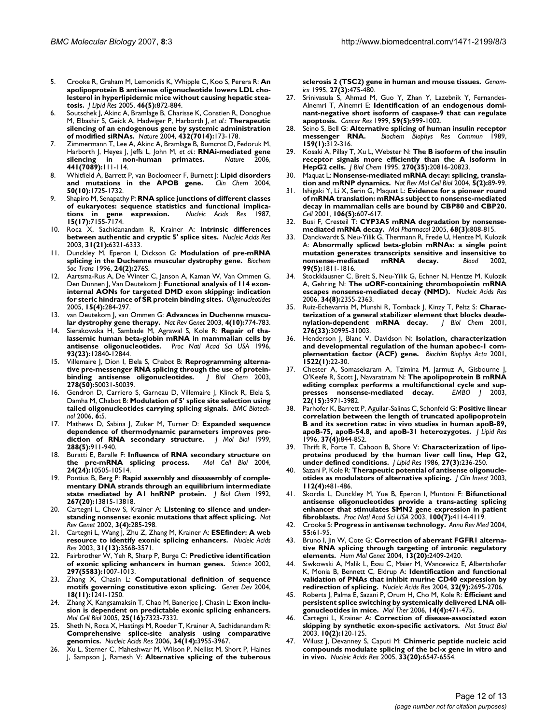- 5. Crooke R, Graham M, Lemonidis K, Whipple C, Koo S, Perera R: **[An](http://www.ncbi.nlm.nih.gov/entrez/query.fcgi?cmd=Retrieve&db=PubMed&dopt=Abstract&list_uids=15716585) [apolipoprotein B antisense oligonucleotide lowers LDL cho](http://www.ncbi.nlm.nih.gov/entrez/query.fcgi?cmd=Retrieve&db=PubMed&dopt=Abstract&list_uids=15716585)lesterol in hyperlipidemic mice without causing hepatic stea[tosis.](http://www.ncbi.nlm.nih.gov/entrez/query.fcgi?cmd=Retrieve&db=PubMed&dopt=Abstract&list_uids=15716585)** *J Lipid Res* 2005, **46(5):**872-884.
- 6. Soutschek J, Akinc A, Bramlage B, Charisse K, Constien R, Donoghue M, Elbashir S, Geick A, Hadwiger P, Harborth J, *et al.*: **[Therapeutic](http://www.ncbi.nlm.nih.gov/entrez/query.fcgi?cmd=Retrieve&db=PubMed&dopt=Abstract&list_uids=15538359) [silencing of an endogenous gene by systemic administration](http://www.ncbi.nlm.nih.gov/entrez/query.fcgi?cmd=Retrieve&db=PubMed&dopt=Abstract&list_uids=15538359) [of modified siRNAs.](http://www.ncbi.nlm.nih.gov/entrez/query.fcgi?cmd=Retrieve&db=PubMed&dopt=Abstract&list_uids=15538359)** *Nature* 2004, **432(7014):**173-178.
- 7. Zimmermann T, Lee A, Akinc A, Bramlage B, Bumcrot D, Fedoruk M, Harborth J, Heyes J, Jeffs L, John M, *et al.*: **[RNAi-mediated gene](http://www.ncbi.nlm.nih.gov/entrez/query.fcgi?cmd=Retrieve&db=PubMed&dopt=Abstract&list_uids=16565705)** in non-human primates. **441(7089):**111-114.
- 8. Whitfield A, Barrett P, van Bockxmeer F, Burnett J: **[Lipid disorders](http://www.ncbi.nlm.nih.gov/entrez/query.fcgi?cmd=Retrieve&db=PubMed&dopt=Abstract&list_uids=15308601) [and mutations in the APOB gene.](http://www.ncbi.nlm.nih.gov/entrez/query.fcgi?cmd=Retrieve&db=PubMed&dopt=Abstract&list_uids=15308601)** *Clin Chem* 2004, **50(10):**1725-1732.
- 9. Shapiro M, Senapathy P: **[RNA splice junctions of different classes](http://www.ncbi.nlm.nih.gov/entrez/query.fcgi?cmd=Retrieve&db=PubMed&dopt=Abstract&list_uids=3658675)** of eukaryotes: sequence statistics and functional implications in gene expression. Nucleic Acids Res 1987, [tions in gene expression.](http://www.ncbi.nlm.nih.gov/entrez/query.fcgi?cmd=Retrieve&db=PubMed&dopt=Abstract&list_uids=3658675) **15(17):**7155-7174.
- 10. Roca X, Sachidanandam R, Krainer A: **[Intrinsic differences](http://www.ncbi.nlm.nih.gov/entrez/query.fcgi?cmd=Retrieve&db=PubMed&dopt=Abstract&list_uids=14576320) [between authentic and cryptic 5' splice sites.](http://www.ncbi.nlm.nih.gov/entrez/query.fcgi?cmd=Retrieve&db=PubMed&dopt=Abstract&list_uids=14576320)** *Nucleic Acids Res* 2003, **31(21):**6321-6333.
- 11. Dunckley M, Eperon I, Dickson G: **[Modulation of pre-mRNA](http://www.ncbi.nlm.nih.gov/entrez/query.fcgi?cmd=Retrieve&db=PubMed&dopt=Abstract&list_uids=8736934) [splicing in the Duchenne muscular dystrophy gene.](http://www.ncbi.nlm.nih.gov/entrez/query.fcgi?cmd=Retrieve&db=PubMed&dopt=Abstract&list_uids=8736934)** *Biochem Soc Trans* 1996, **24(2):**276S.
- Aartsma-Rus A, De Winter C, Janson A, Kaman W, Van Ommen G, Den Dunnen J, Van Deutekom J: **[Functional analysis of 114 exon](http://www.ncbi.nlm.nih.gov/entrez/query.fcgi?cmd=Retrieve&db=PubMed&dopt=Abstract&list_uids=16396622)[internal AONs for targeted DMD exon skipping: indication](http://www.ncbi.nlm.nih.gov/entrez/query.fcgi?cmd=Retrieve&db=PubMed&dopt=Abstract&list_uids=16396622) [for steric hindrance of SR protein binding sites.](http://www.ncbi.nlm.nih.gov/entrez/query.fcgi?cmd=Retrieve&db=PubMed&dopt=Abstract&list_uids=16396622)** *Oligonucleotides* 2005, **15(4):**284-297.
- 13. van Deutekom J, van Ommen G: **[Advances in Duchenne muscu](http://www.ncbi.nlm.nih.gov/entrez/query.fcgi?cmd=Retrieve&db=PubMed&dopt=Abstract&list_uids=14526374)[lar dystrophy gene therapy.](http://www.ncbi.nlm.nih.gov/entrez/query.fcgi?cmd=Retrieve&db=PubMed&dopt=Abstract&list_uids=14526374)** *Nat Rev Genet* 2003, **4(10):**774-783.
- 14. Sierakowska H, Sambade M, Agrawal S, Kole R: **[Repair of tha](http://www.ncbi.nlm.nih.gov/entrez/query.fcgi?cmd=Retrieve&db=PubMed&dopt=Abstract&list_uids=8917506)[lassemic human beta-globin mRNA in mammalian cells by](http://www.ncbi.nlm.nih.gov/entrez/query.fcgi?cmd=Retrieve&db=PubMed&dopt=Abstract&list_uids=8917506) [antisense oligonucleotides.](http://www.ncbi.nlm.nih.gov/entrez/query.fcgi?cmd=Retrieve&db=PubMed&dopt=Abstract&list_uids=8917506)** *Proc Natl Acad Sci USA* 1996, **93(23):**12840-12844.
- 15. Villemaire J, Dion I, Elela S, Chabot B: **[Reprogramming alterna](http://www.ncbi.nlm.nih.gov/entrez/query.fcgi?cmd=Retrieve&db=PubMed&dopt=Abstract&list_uids=14522969)[tive pre-messenger RNA splicing through the use of protein](http://www.ncbi.nlm.nih.gov/entrez/query.fcgi?cmd=Retrieve&db=PubMed&dopt=Abstract&list_uids=14522969)[binding antisense oligonucleotides.](http://www.ncbi.nlm.nih.gov/entrez/query.fcgi?cmd=Retrieve&db=PubMed&dopt=Abstract&list_uids=14522969)** *J Biol Chem* 2003, **278(50):**50031-50039.
- 16. Gendron D, Carriero S, Garneau D, Villemaire J, Klinck R, Elela S, Damha M, Chabot B: **[Modulation of 5' splice site selection using](http://www.ncbi.nlm.nih.gov/entrez/query.fcgi?cmd=Retrieve&db=PubMed&dopt=Abstract&list_uids=16412215) [tailed oligonucleotides carrying splicing signals.](http://www.ncbi.nlm.nih.gov/entrez/query.fcgi?cmd=Retrieve&db=PubMed&dopt=Abstract&list_uids=16412215)** *BMC Biotechnol* 2006, **6:**5.
- 17. Mathews D, Sabina J, Zuker M, Turner D: [Expanded sequence](http://www.ncbi.nlm.nih.gov/entrez/query.fcgi?cmd=Retrieve&db=PubMed&dopt=Abstract&list_uids=10329189) **[dependence of thermodynamic parameters improves pre](http://www.ncbi.nlm.nih.gov/entrez/query.fcgi?cmd=Retrieve&db=PubMed&dopt=Abstract&list_uids=10329189)[diction of RNA secondary structure.](http://www.ncbi.nlm.nih.gov/entrez/query.fcgi?cmd=Retrieve&db=PubMed&dopt=Abstract&list_uids=10329189)** *J Mol Biol* 1999, **288(5):**911-940.
- 18. Buratti E, Baralle F: **[Influence of RNA secondary structure on](http://www.ncbi.nlm.nih.gov/entrez/query.fcgi?cmd=Retrieve&db=PubMed&dopt=Abstract&list_uids=15572659)** [the pre-mRNA splicing process.](http://www.ncbi.nlm.nih.gov/entrez/query.fcgi?cmd=Retrieve&db=PubMed&dopt=Abstract&list_uids=15572659) **24(24):**10505-10514.
- 19. Pontius B, Berg P: **[Rapid assembly and disassembly of comple](http://www.ncbi.nlm.nih.gov/entrez/query.fcgi?cmd=Retrieve&db=PubMed&dopt=Abstract&list_uids=1629182)[mentary DNA strands through an equilibrium intermediate](http://www.ncbi.nlm.nih.gov/entrez/query.fcgi?cmd=Retrieve&db=PubMed&dopt=Abstract&list_uids=1629182) [state mediated by A1 hnRNP protein.](http://www.ncbi.nlm.nih.gov/entrez/query.fcgi?cmd=Retrieve&db=PubMed&dopt=Abstract&list_uids=1629182)** *J Biol Chem* 1992, **267(20):**13815-13818.
- 20. Cartegni L, Chew S, Krainer A: **[Listening to silence and under](http://www.ncbi.nlm.nih.gov/entrez/query.fcgi?cmd=Retrieve&db=PubMed&dopt=Abstract&list_uids=11967553)[standing nonsense: exonic mutations that affect splicing.](http://www.ncbi.nlm.nih.gov/entrez/query.fcgi?cmd=Retrieve&db=PubMed&dopt=Abstract&list_uids=11967553)** *Nat Rev Genet* 2002, **3(4):**285-298.
- 21. Cartegni L, Wang J, Zhu Z, Zhang M, Krainer A: **[ESEfinder: A web](http://www.ncbi.nlm.nih.gov/entrez/query.fcgi?cmd=Retrieve&db=PubMed&dopt=Abstract&list_uids=12824367) [resource to identify exonic splicing enhancers.](http://www.ncbi.nlm.nih.gov/entrez/query.fcgi?cmd=Retrieve&db=PubMed&dopt=Abstract&list_uids=12824367)** *Nucleic Acids Res* 2003, **31(13):**3568-3571.
- 22. Fairbrother W, Yeh R, Sharp P, Burge C: **[Predictive identification](http://www.ncbi.nlm.nih.gov/entrez/query.fcgi?cmd=Retrieve&db=PubMed&dopt=Abstract&list_uids=12114529) [of exonic splicing enhancers in human genes.](http://www.ncbi.nlm.nih.gov/entrez/query.fcgi?cmd=Retrieve&db=PubMed&dopt=Abstract&list_uids=12114529)** *Science* 2002, **297(5583):**1007-1013.
- 23. Zhang X, Chasin L: **[Computational definition of sequence](http://www.ncbi.nlm.nih.gov/entrez/query.fcgi?cmd=Retrieve&db=PubMed&dopt=Abstract&list_uids=15145827) [motifs governing constitutive exon splicing.](http://www.ncbi.nlm.nih.gov/entrez/query.fcgi?cmd=Retrieve&db=PubMed&dopt=Abstract&list_uids=15145827)** *Genes Dev* 2004, **18(11):**1241-1250.
- 24. Zhang X, Kangsamaksin T, Chao M, Banerjee J, Chasin L: **[Exon inclu](http://www.ncbi.nlm.nih.gov/entrez/query.fcgi?cmd=Retrieve&db=PubMed&dopt=Abstract&list_uids=16055740)[sion is dependent on predictable exonic splicing enhancers.](http://www.ncbi.nlm.nih.gov/entrez/query.fcgi?cmd=Retrieve&db=PubMed&dopt=Abstract&list_uids=16055740)** *Mol Cell Biol* 2005, **25(16):**7323-7332.
- 25. Sheth N, Roca X, Hastings M, Roeder T, Krainer A, Sachidanandam R: **[Comprehensive splice-site analysis using comparative](http://www.ncbi.nlm.nih.gov/entrez/query.fcgi?cmd=Retrieve&db=PubMed&dopt=Abstract&list_uids=16914448) [genomics.](http://www.ncbi.nlm.nih.gov/entrez/query.fcgi?cmd=Retrieve&db=PubMed&dopt=Abstract&list_uids=16914448)** *Nucleic Acids Res* 2006, **34(14):**3955-3967.
- 26. Xu L, Sterner C, Maheshwar M, Wilson P, Nellist M, Short P, Haines J, Sampson J, Ramesh V: **[Alternative splicing of the tuberous](http://www.ncbi.nlm.nih.gov/entrez/query.fcgi?cmd=Retrieve&db=PubMed&dopt=Abstract&list_uids=7558029)**

**[sclerosis 2 \(TSC2\) gene in human and mouse tissues.](http://www.ncbi.nlm.nih.gov/entrez/query.fcgi?cmd=Retrieve&db=PubMed&dopt=Abstract&list_uids=7558029)** *Genomics* 1995, **27(3):**475-480.

- 27. Srinivasula S, Ahmad M, Guo Y, Zhan Y, Lazebnik Y, Fernandes-Alnemri T, Alnemri E: **[Identification of an endogenous domi](http://www.ncbi.nlm.nih.gov/entrez/query.fcgi?cmd=Retrieve&db=PubMed&dopt=Abstract&list_uids=10070954)[nant-negative short isoform of caspase-9 that can regulate](http://www.ncbi.nlm.nih.gov/entrez/query.fcgi?cmd=Retrieve&db=PubMed&dopt=Abstract&list_uids=10070954) [apoptosis.](http://www.ncbi.nlm.nih.gov/entrez/query.fcgi?cmd=Retrieve&db=PubMed&dopt=Abstract&list_uids=10070954)** *Cancer Res* 1999, **59(5):**999-1002.
- 28. Seino S, Bell G: **[Alternative splicing of human insulin receptor](http://www.ncbi.nlm.nih.gov/entrez/query.fcgi?cmd=Retrieve&db=PubMed&dopt=Abstract&list_uids=2538124) [messenger RNA.](http://www.ncbi.nlm.nih.gov/entrez/query.fcgi?cmd=Retrieve&db=PubMed&dopt=Abstract&list_uids=2538124)** *Biochem Biophys Res Commun* 1989, **159(1):**312-316.
- 29. Kosaki A, Pillay T, Xu L, Webster N: **[The B isoform of the insulin](http://www.ncbi.nlm.nih.gov/entrez/query.fcgi?cmd=Retrieve&db=PubMed&dopt=Abstract&list_uids=7657666) [receptor signals more efficiently than the A isoform in](http://www.ncbi.nlm.nih.gov/entrez/query.fcgi?cmd=Retrieve&db=PubMed&dopt=Abstract&list_uids=7657666) [HepG2 cells.](http://www.ncbi.nlm.nih.gov/entrez/query.fcgi?cmd=Retrieve&db=PubMed&dopt=Abstract&list_uids=7657666)** *J Biol Chem* 1995, **270(35):**20816-20823.
- 30. Maquat L: **[Nonsense-mediated mRNA decay: splicing, transla](http://www.ncbi.nlm.nih.gov/entrez/query.fcgi?cmd=Retrieve&db=PubMed&dopt=Abstract&list_uids=15040442)[tion and mRNP dynamics.](http://www.ncbi.nlm.nih.gov/entrez/query.fcgi?cmd=Retrieve&db=PubMed&dopt=Abstract&list_uids=15040442)** *Nat Rev Mol Cell Biol* 2004, **5(2):**89-99.
- 31. Ishigaki Y, Li X, Serin G, Maquat L: **[Evidence for a pioneer round](http://www.ncbi.nlm.nih.gov/entrez/query.fcgi?cmd=Retrieve&db=PubMed&dopt=Abstract&list_uids=11551508) [of mRNA translation: mRNAs subject to nonsense-mediated](http://www.ncbi.nlm.nih.gov/entrez/query.fcgi?cmd=Retrieve&db=PubMed&dopt=Abstract&list_uids=11551508) decay in mammalian cells are bound by CBP80 and CBP20.** *Cell* 2001, **106(5):**607-617.
- 32. Busi F, Cresteil T: **[CYP3A5 mRNA degradation by nonsense](http://www.ncbi.nlm.nih.gov/entrez/query.fcgi?cmd=Retrieve&db=PubMed&dopt=Abstract&list_uids=15955870)[mediated mRNA decay.](http://www.ncbi.nlm.nih.gov/entrez/query.fcgi?cmd=Retrieve&db=PubMed&dopt=Abstract&list_uids=15955870)** *Mol Pharmacol* 2005, **68(3):**808-815.
- 33. Danckwardt S, Neu-Yilik G, Thermann R, Frede U, Hentze M, Kulozik A: **[Abnormally spliced beta-globin mRNAs: a single point](http://www.ncbi.nlm.nih.gov/entrez/query.fcgi?cmd=Retrieve&db=PubMed&dopt=Abstract&list_uids=11861299) [mutation generates transcripts sensitive and insensitive to](http://www.ncbi.nlm.nih.gov/entrez/query.fcgi?cmd=Retrieve&db=PubMed&dopt=Abstract&list_uids=11861299) [nonsense-mediated mRNA decay.](http://www.ncbi.nlm.nih.gov/entrez/query.fcgi?cmd=Retrieve&db=PubMed&dopt=Abstract&list_uids=11861299)** *Blood* 2002, **99(5):**1811-1816.
- 34. Stockklausner C, Breit S, Neu-Yilik G, Echner N, Hentze M, Kulozik A, Gehring N: **[The uORF-containing thrombopoietin mRNA](http://www.ncbi.nlm.nih.gov/entrez/query.fcgi?cmd=Retrieve&db=PubMed&dopt=Abstract&list_uids=16679454) [escapes nonsense-mediated decay \(NMD\).](http://www.ncbi.nlm.nih.gov/entrez/query.fcgi?cmd=Retrieve&db=PubMed&dopt=Abstract&list_uids=16679454)** *Nucleic Acids Res* 2006, **34(8):**2355-2363.
- 35. Ruiz-Echevarria M, Munshi R, Tomback J, Kinzy T, Peltz S: **[Charac](http://www.ncbi.nlm.nih.gov/entrez/query.fcgi?cmd=Retrieve&db=PubMed&dopt=Abstract&list_uids=11423548)[terization of a general stabilizer element that blocks deade](http://www.ncbi.nlm.nih.gov/entrez/query.fcgi?cmd=Retrieve&db=PubMed&dopt=Abstract&list_uids=11423548)[nylation-dependent mRNA decay.](http://www.ncbi.nlm.nih.gov/entrez/query.fcgi?cmd=Retrieve&db=PubMed&dopt=Abstract&list_uids=11423548)** *J Biol Chem* 2001, **276(33):**30995-31003.
- 36. Henderson J, Blanc V, Davidson N: **[Isolation, characterization](http://www.ncbi.nlm.nih.gov/entrez/query.fcgi?cmd=Retrieve&db=PubMed&dopt=Abstract&list_uids=11718896) [and developmental regulation of the human apobec-1 com](http://www.ncbi.nlm.nih.gov/entrez/query.fcgi?cmd=Retrieve&db=PubMed&dopt=Abstract&list_uids=11718896)[plementation factor \(ACF\) gene.](http://www.ncbi.nlm.nih.gov/entrez/query.fcgi?cmd=Retrieve&db=PubMed&dopt=Abstract&list_uids=11718896)** *Biochim Biophys Acta* 2001, **1522(1):**22-30.
- 37. Chester A, Somasekaram A, Tzimina M, Jarmuz A, Gisbourne J, O'Keefe R, Scott J, Navaratnam N: **[The apolipoprotein B mRNA](http://www.ncbi.nlm.nih.gov/entrez/query.fcgi?cmd=Retrieve&db=PubMed&dopt=Abstract&list_uids=12881431)** editing complex performs a multifunctional cycle and sup-<br>presses nonsense-mediated decay. *EMBO* / 2003, [presses nonsense-mediated decay.](http://www.ncbi.nlm.nih.gov/entrez/query.fcgi?cmd=Retrieve&db=PubMed&dopt=Abstract&list_uids=12881431) **22(15):**3971-3982.
- 38. Parhofer K, Barrett P, Aguilar-Salinas C, Schonfeld G: **[Positive linear](http://www.ncbi.nlm.nih.gov/entrez/query.fcgi?cmd=Retrieve&db=PubMed&dopt=Abstract&list_uids=8732784) [correlation between the length of truncated apolipoprotein](http://www.ncbi.nlm.nih.gov/entrez/query.fcgi?cmd=Retrieve&db=PubMed&dopt=Abstract&list_uids=8732784) B and its secretion rate: in vivo studies in human apoB-89, [apoB-75, apoB-54.8, and apoB-31 heterozygotes.](http://www.ncbi.nlm.nih.gov/entrez/query.fcgi?cmd=Retrieve&db=PubMed&dopt=Abstract&list_uids=8732784)** *J Lipid Res* 1996, **37(4):**844-852.
- 39. Thrift R, Forte T, Cahoon B, Shore V: **[Characterization of lipo](http://www.ncbi.nlm.nih.gov/entrez/query.fcgi?cmd=Retrieve&db=PubMed&dopt=Abstract&list_uids=3016129)[proteins produced by the human liver cell line, Hep G2,](http://www.ncbi.nlm.nih.gov/entrez/query.fcgi?cmd=Retrieve&db=PubMed&dopt=Abstract&list_uids=3016129) [under defined conditions.](http://www.ncbi.nlm.nih.gov/entrez/query.fcgi?cmd=Retrieve&db=PubMed&dopt=Abstract&list_uids=3016129)** *J Lipid Res* 1986, **27(3):**236-250.
- Sazani P, Kole R: [Therapeutic potential of antisense oligonucle](http://www.ncbi.nlm.nih.gov/entrez/query.fcgi?cmd=Retrieve&db=PubMed&dopt=Abstract&list_uids=12925686)**[otides as modulators of alternative splicing.](http://www.ncbi.nlm.nih.gov/entrez/query.fcgi?cmd=Retrieve&db=PubMed&dopt=Abstract&list_uids=12925686)** *J Clin Invest* 2003, **112(4):**481-486.
- 41. Skordis L, Dunckley M, Yue B, Eperon I, Muntoni F: **[Bifunctional](http://www.ncbi.nlm.nih.gov/entrez/query.fcgi?cmd=Retrieve&db=PubMed&dopt=Abstract&list_uids=12642665) [antisense oligonucleotides provide a trans-acting splicing](http://www.ncbi.nlm.nih.gov/entrez/query.fcgi?cmd=Retrieve&db=PubMed&dopt=Abstract&list_uids=12642665) enhancer that stimulates SMN2 gene expression in patient [fibroblasts.](http://www.ncbi.nlm.nih.gov/entrez/query.fcgi?cmd=Retrieve&db=PubMed&dopt=Abstract&list_uids=12642665)** *Proc Natl Acad Sci USA* 2003, **100(7):**4114-4119.
- 42. Crooke S: **[Progress in antisense technology.](http://www.ncbi.nlm.nih.gov/entrez/query.fcgi?cmd=Retrieve&db=PubMed&dopt=Abstract&list_uids=14746510)** *Annu Rev Med* 2004, **55:**61-95.
- 43. Bruno I, Jin W, Cote G: **[Correction of aberrant FGFR1 alterna](http://www.ncbi.nlm.nih.gov/entrez/query.fcgi?cmd=Retrieve&db=PubMed&dopt=Abstract&list_uids=15333583)[tive RNA splicing through targeting of intronic regulatory](http://www.ncbi.nlm.nih.gov/entrez/query.fcgi?cmd=Retrieve&db=PubMed&dopt=Abstract&list_uids=15333583) [elements.](http://www.ncbi.nlm.nih.gov/entrez/query.fcgi?cmd=Retrieve&db=PubMed&dopt=Abstract&list_uids=15333583)** *Hum Mol Genet* 2004, **13(20):**2409-2420.
- Siwkowski A, Malik L, Esau C, Maier M, Wancewicz E, Albertshofer K, Monia B, Bennett C, Eldrup A: **[Identification and functional](http://www.ncbi.nlm.nih.gov/entrez/query.fcgi?cmd=Retrieve&db=PubMed&dopt=Abstract&list_uids=15148357) [validation of PNAs that inhibit murine CD40 expression by](http://www.ncbi.nlm.nih.gov/entrez/query.fcgi?cmd=Retrieve&db=PubMed&dopt=Abstract&list_uids=15148357) [redirection of splicing.](http://www.ncbi.nlm.nih.gov/entrez/query.fcgi?cmd=Retrieve&db=PubMed&dopt=Abstract&list_uids=15148357)** *Nucleic Acids Res* 2004, **32(9):**2695-2706.
- 45. Roberts J, Palma E, Sazani P, Orum H, Cho M, Kole R: **[Efficient and](http://www.ncbi.nlm.nih.gov/entrez/query.fcgi?cmd=Retrieve&db=PubMed&dopt=Abstract&list_uids=16854630) [persistent splice switching by systemically delivered LNA oli](http://www.ncbi.nlm.nih.gov/entrez/query.fcgi?cmd=Retrieve&db=PubMed&dopt=Abstract&list_uids=16854630)[gonucleotides in mice.](http://www.ncbi.nlm.nih.gov/entrez/query.fcgi?cmd=Retrieve&db=PubMed&dopt=Abstract&list_uids=16854630)** *Mol Ther* 2006, **14(4):**471-475.
- 46. Cartegni L, Krainer A: **[Correction of disease-associated exon](http://www.ncbi.nlm.nih.gov/entrez/query.fcgi?cmd=Retrieve&db=PubMed&dopt=Abstract&list_uids=12524529) [skipping by synthetic exon-specific activators.](http://www.ncbi.nlm.nih.gov/entrez/query.fcgi?cmd=Retrieve&db=PubMed&dopt=Abstract&list_uids=12524529)** *Nat Struct Biol* 2003, **10(2):**120-125.
- 47. Wilusz J, Devanney S, Caputi M: **[Chimeric peptide nucleic acid](http://www.ncbi.nlm.nih.gov/entrez/query.fcgi?cmd=Retrieve&db=PubMed&dopt=Abstract&list_uids=16299354) [compounds modulate splicing of the bcl-x gene in vitro and](http://www.ncbi.nlm.nih.gov/entrez/query.fcgi?cmd=Retrieve&db=PubMed&dopt=Abstract&list_uids=16299354) [in vivo.](http://www.ncbi.nlm.nih.gov/entrez/query.fcgi?cmd=Retrieve&db=PubMed&dopt=Abstract&list_uids=16299354)** *Nucleic Acids Res* 2005, **33(20):**6547-6554.